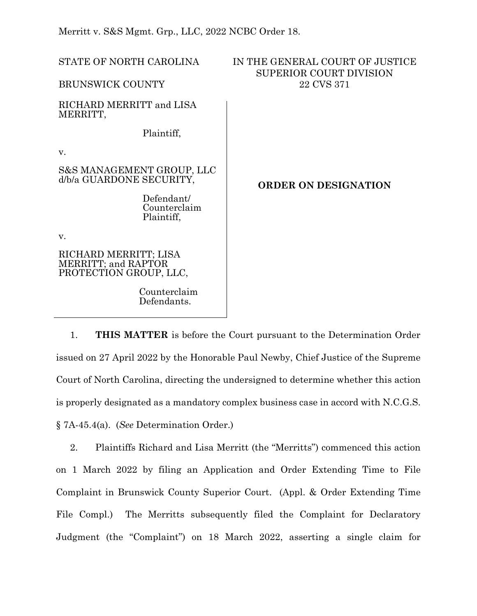Merritt v. S&S Mgmt. Grp., LLC, 2022 NCBC Order 18.

| STATE OF NORTH CAROLINA                                                | IN THE GENERAL COURT OF JUSTICE<br><b>SUPERIOR COURT DIVISION</b> |
|------------------------------------------------------------------------|-------------------------------------------------------------------|
| <b>BRUNSWICK COUNTY</b>                                                | 22 CVS 371                                                        |
| RICHARD MERRITT and LISA<br>MERRITT,                                   |                                                                   |
| Plaintiff,                                                             |                                                                   |
| V.                                                                     |                                                                   |
| S&S MANAGEMENT GROUP, LLC<br>d/b/a GUARDONE SECURITY,                  | <b>ORDER ON DESIGNATION</b>                                       |
| Defendant/<br>Counterclaim<br>Plaintiff,                               |                                                                   |
| V.                                                                     |                                                                   |
| RICHARD MERRITT; LISA<br>MERRITT; and RAPTOR<br>PROTECTION GROUP, LLC, |                                                                   |
| Counterclaim<br>Defendants.                                            |                                                                   |

1. **THIS MATTER** is before the Court pursuant to the Determination Order issued on 27 April 2022 by the Honorable Paul Newby, Chief Justice of the Supreme Court of North Carolina, directing the undersigned to determine whether this action is properly designated as a mandatory complex business case in accord with N.C.G.S. § 7A-45.4(a). (*See* Determination Order.)

2. Plaintiffs Richard and Lisa Merritt (the "Merritts") commenced this action on 1 March 2022 by filing an Application and Order Extending Time to File Complaint in Brunswick County Superior Court. (Appl. & Order Extending Time File Compl.) The Merritts subsequently filed the Complaint for Declaratory Judgment (the "Complaint") on 18 March 2022, asserting a single claim for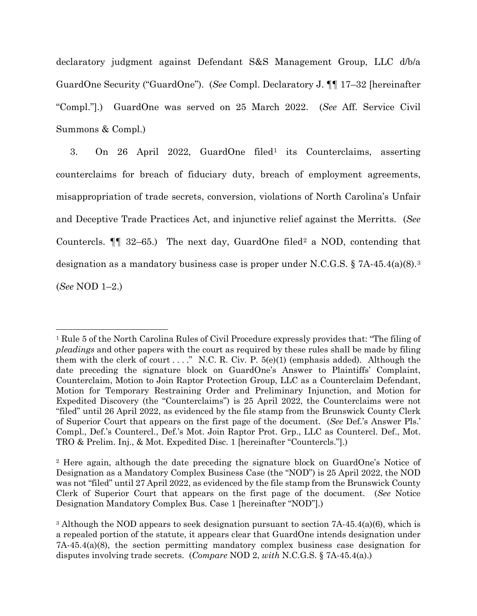declaratory judgment against Defendant S&S Management Group, LLC d/b/a GuardOne Security ("GuardOne"). (*See* Compl. Declaratory J. ¶¶ 17–32 [hereinafter "Compl."].) GuardOne was served on 25 March 2022. (*See* Aff. Service Civil Summons & Compl.)

3. On 26 April 2022, GuardOne filed[1](#page-1-0) its Counterclaims, asserting counterclaims for breach of fiduciary duty, breach of employment agreements, misappropriation of trade secrets, conversion, violations of North Carolina's Unfair and Deceptive Trade Practices Act, and injunctive relief against the Merritts. (*See* Countercls.  $\P$  3[2](#page-1-1)–65.) The next day, GuardOne filed<sup>2</sup> a NOD, contending that designation as a mandatory business case is proper under N.C.G.S. § 7A-45.4(a)(8).[3](#page-1-2) (*See* NOD 1–2.)

<span id="page-1-0"></span><sup>1</sup> Rule 5 of the North Carolina Rules of Civil Procedure expressly provides that: "The filing of *pleadings* and other papers with the court as required by these rules shall be made by filing them with the clerk of court ...." N.C. R. Civ. P.  $5(e)(1)$  (emphasis added). Although the date preceding the signature block on GuardOne's Answer to Plaintiffs' Complaint, Counterclaim, Motion to Join Raptor Protection Group, LLC as a Counterclaim Defendant, Motion for Temporary Restraining Order and Preliminary Injunction, and Motion for Expedited Discovery (the "Counterclaims") is 25 April 2022, the Counterclaims were not "filed" until 26 April 2022, as evidenced by the file stamp from the Brunswick County Clerk of Superior Court that appears on the first page of the document. (*See* Def.'s Answer Pls.' Compl., Def.'s Countercl., Def.'s Mot. Join Raptor Prot. Grp., LLC as Countercl. Def., Mot. TRO & Prelim. Inj., & Mot. Expedited Disc. 1 [hereinafter "Countercls."].)

<span id="page-1-1"></span><sup>2</sup> Here again, although the date preceding the signature block on GuardOne's Notice of Designation as a Mandatory Complex Business Case (the "NOD") is 25 April 2022, the NOD was not "filed" until 27 April 2022, as evidenced by the file stamp from the Brunswick County Clerk of Superior Court that appears on the first page of the document. (*See* Notice Designation Mandatory Complex Bus. Case 1 [hereinafter "NOD"].)

<span id="page-1-2"></span><sup>&</sup>lt;sup>3</sup> Although the NOD appears to seek designation pursuant to section 7A-45.4(a)(6), which is a repealed portion of the statute, it appears clear that GuardOne intends designation under 7A-45.4(a)(8), the section permitting mandatory complex business case designation for disputes involving trade secrets. (*Compare* NOD 2, *with* N.C.G.S. § 7A-45.4(a).)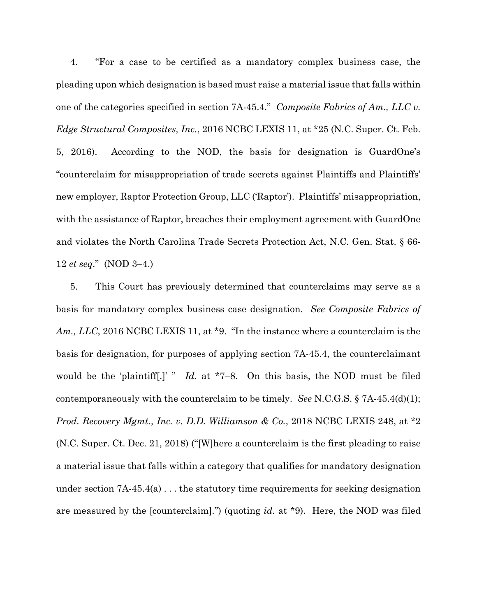4. "For a case to be certified as a mandatory complex business case, the pleading upon which designation is based must raise a material issue that falls within one of the categories specified in section 7A-45.4." *Composite Fabrics of Am., LLC v. Edge Structural Composites, Inc.*, 2016 NCBC LEXIS 11, at \*25 (N.C. Super. Ct. Feb. 5, 2016). According to the NOD, the basis for designation is GuardOne's "counterclaim for misappropriation of trade secrets against Plaintiffs and Plaintiffs' new employer, Raptor Protection Group, LLC ('Raptor'). Plaintiffs' misappropriation, with the assistance of Raptor, breaches their employment agreement with GuardOne and violates the North Carolina Trade Secrets Protection Act, N.C. Gen. Stat. § 66- 12 *et seq*." (NOD 3–4.)

5. This Court has previously determined that counterclaims may serve as a basis for mandatory complex business case designation. *See Composite Fabrics of Am., LLC*, 2016 NCBC LEXIS 11, at \*9. "In the instance where a counterclaim is the basis for designation, for purposes of applying section 7A-45.4, the counterclaimant would be the 'plaintiff[.]' " *Id.* at \*7–8. On this basis, the NOD must be filed contemporaneously with the counterclaim to be timely. *See* N.C.G.S. § 7A-45.4(d)(1); *Prod. Recovery Mgmt., Inc. v. D.D. Williamson & Co.*, 2018 NCBC LEXIS 248, at \*2 (N.C. Super. Ct. Dec. 21, 2018) ("[W]here a counterclaim is the first pleading to raise a material issue that falls within a category that qualifies for mandatory designation under section  $7A-45.4(a)$ ... the statutory time requirements for seeking designation are measured by the [counterclaim].") (quoting *id.* at \*9). Here, the NOD was filed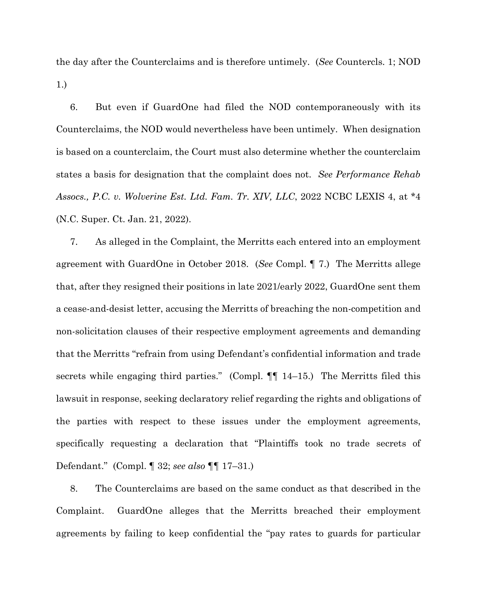the day after the Counterclaims and is therefore untimely. (*See* Countercls. 1; NOD 1.)

6. But even if GuardOne had filed the NOD contemporaneously with its Counterclaims, the NOD would nevertheless have been untimely. When designation is based on a counterclaim, the Court must also determine whether the counterclaim states a basis for designation that the complaint does not. *See Performance Rehab Assocs., P.C. v. Wolverine Est. Ltd. Fam. Tr. XIV, LLC*, 2022 NCBC LEXIS 4, at \*4 (N.C. Super. Ct. Jan. 21, 2022).

7. As alleged in the Complaint, the Merritts each entered into an employment agreement with GuardOne in October 2018. (*See* Compl. ¶ 7.) The Merritts allege that, after they resigned their positions in late 2021/early 2022, GuardOne sent them a cease-and-desist letter, accusing the Merritts of breaching the non-competition and non-solicitation clauses of their respective employment agreements and demanding that the Merritts "refrain from using Defendant's confidential information and trade secrets while engaging third parties." (Compl.  $\P\P$  14–15.) The Merritts filed this lawsuit in response, seeking declaratory relief regarding the rights and obligations of the parties with respect to these issues under the employment agreements, specifically requesting a declaration that "Plaintiffs took no trade secrets of Defendant." (Compl. ¶ 32; *see also* ¶¶ 17–31.)

8. The Counterclaims are based on the same conduct as that described in the Complaint. GuardOne alleges that the Merritts breached their employment agreements by failing to keep confidential the "pay rates to guards for particular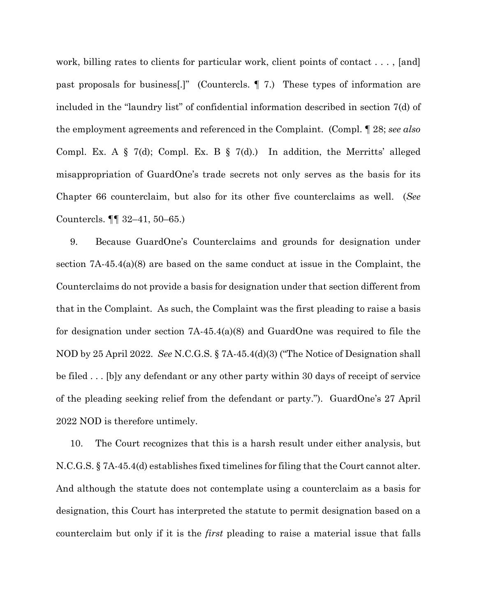work, billing rates to clients for particular work, client points of contact ..., [and] past proposals for business[.]" (Countercls. ¶ 7.) These types of information are included in the "laundry list" of confidential information described in section 7(d) of the employment agreements and referenced in the Complaint. (Compl. ¶ 28; *see also* Compl. Ex. A  $\S$  7(d); Compl. Ex. B  $\S$  7(d).) In addition, the Merritts' alleged misappropriation of GuardOne's trade secrets not only serves as the basis for its Chapter 66 counterclaim, but also for its other five counterclaims as well. (*See* Countercls. ¶¶ 32–41, 50–65.)

9. Because GuardOne's Counterclaims and grounds for designation under section 7A-45.4(a)(8) are based on the same conduct at issue in the Complaint, the Counterclaims do not provide a basis for designation under that section different from that in the Complaint. As such, the Complaint was the first pleading to raise a basis for designation under section 7A-45.4(a)(8) and GuardOne was required to file the NOD by 25 April 2022. *See* N.C.G.S. § 7A-45.4(d)(3) ("The Notice of Designation shall be filed . . . [b]y any defendant or any other party within 30 days of receipt of service of the pleading seeking relief from the defendant or party."). GuardOne's 27 April 2022 NOD is therefore untimely.

10. The Court recognizes that this is a harsh result under either analysis, but N.C.G.S. § 7A-45.4(d) establishes fixed timelines for filing that the Court cannot alter. And although the statute does not contemplate using a counterclaim as a basis for designation, this Court has interpreted the statute to permit designation based on a counterclaim but only if it is the *first* pleading to raise a material issue that falls